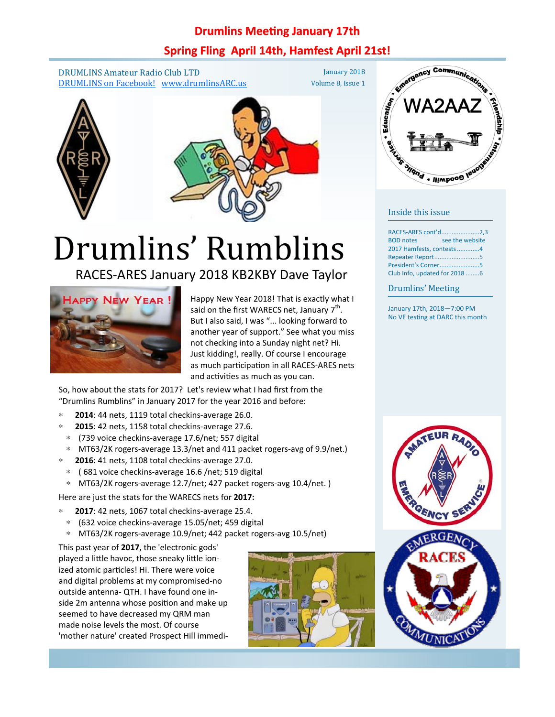#### **Drumlins Meeting January 17th**

### **Spring Fling April 14th, Hamfest April 21st!**

DRUMLINS Amateur Radio Club LTD DRUMLINS on Facebook! www.drumlinsARC.us

January 2018 Volume 8, Issue 1





# Drumlins' Rumblins

### RACES-ARES January 2018 KB2KBY Dave Taylor



Happy New Year 2018! That is exactly what I said on the first WARECS net, January  $7<sup>th</sup>$ . But I also said, I was "... looking forward to another year of support." See what you miss not checking into a Sunday night net? Hi. Just kidding!, really. Of course I encourage as much participation in all RACES-ARES nets and activities as much as you can.

So, how about the stats for 2017? Let's review what I had first from the "Drumlins Rumblins" in January 2017 for the year 2016 and before:

- ∗ **2014**: 44 nets, 1119 total checkins-average 26.0.
- ∗ **2015**: 42 nets, 1158 total checkins-average 27.6.
- ∗ (739 voice checkins-average 17.6/net; 557 digital
- ∗ MT63/2K rogers-average 13.3/net and 411 packet rogers-avg of 9.9/net.)
- ∗ **2016**: 41 nets, 1108 total checkins-average 27.0.
- ∗ ( 681 voice checkins-average 16.6 /net; 519 digital
- ∗ MT63/2K rogers-average 12.7/net; 427 packet rogers-avg 10.4/net. )

Here are just the stats for the WARECS nets for **2017:**

- ∗ **2017**: 42 nets, 1067 total checkins-average 25.4.
- ∗ (632 voice checkins-average 15.05/net; 459 digital
- ∗ MT63/2K rogers-average 10.9/net; 442 packet rogers-avg 10.5/net)

This past year of **2017**, the 'electronic gods' played a little havoc, those sneaky little ionized atomic particles! Hi. There were voice and digital problems at my compromised-no outside antenna- QTH. I have found one inside 2m antenna whose position and make up seemed to have decreased my QRM man made noise levels the most. Of course 'mother nature' created Prospect Hill immedi-





#### Inside this issue

| RACES-ARES cont'd2,3                |                 |
|-------------------------------------|-----------------|
| <b>BOD</b> notes<br><b>Contract</b> | see the website |
| 2017 Hamfests, contests4            |                 |
| Repeater Report5                    |                 |
| President's Corner5                 |                 |
| Club Info, updated for 2018 6       |                 |

#### Drumlins' Meeting

January 17th, 2018—7:00 PM No VE testing at DARC this month

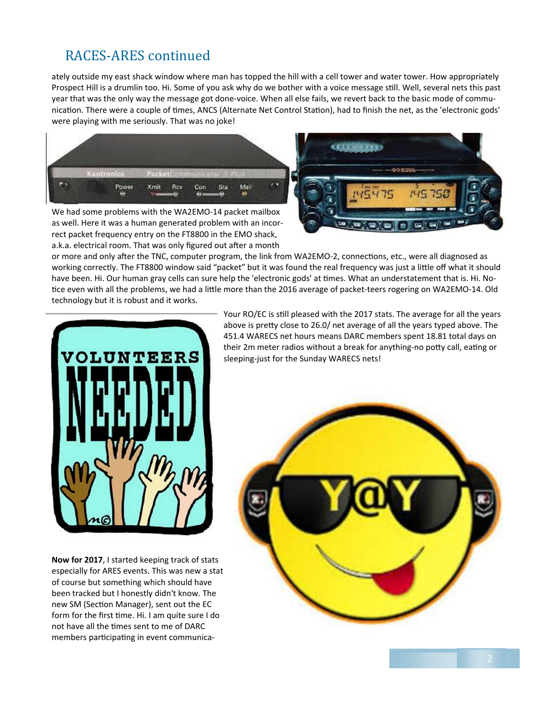# RACES-ARES continued

ately outside my east shack window where man has topped the hill with a cell tower and water tower. How appropriately Prospect Hill is a drumlin too. Hi. Some of you ask why do we bother with a voice message still. Well, several nets this past year that was the only way the message got done-voice. When all else fails, we revert back to the basic mode of communication. There were a couple of times, ANCS (Alternate Net Control Station), had to finish the net, as the 'electronic gods' were playing with me seriously. That was no joke!



We had some problems with the WA2EMO-14 packet mailbox as well. Here it was a human generated problem with an incorrect packet frequency entry on the FT8800 in the EMO shack, a.k.a. electrical room. That was only figured out after a month



or more and only after the TNC, computer program, the link from WA2EMO-2, connections, etc., were all diagnosed as working correctly. The FT8800 window said "packet" but it was found the real frequency was just a little off what it should have been. Hi. Our human gray cells can sure help the 'electronic gods' at times. What an understatement that is. Hi. Notice even with all the problems, we had a little more than the 2016 average of packet-teers rogering on WA2EMO-14. Old technology but it is robust and it works.



**Now for 2017**, I started keeping track of stats especially for ARES events. This was new a stat of course but something which should have been tracked but I honestly didn't know. The new SM (Section Manager), sent out the EC form for the first time. Hi. I am quite sure I do not have all the times sent to me of DARC members participating in event communica-

Your RO/EC is still pleased with the 2017 stats. The average for all the years above is pretty close to 26.0/ net average of all the years typed above. The 451.4 WARECS net hours means DARC members spent 18.81 total days on their 2m meter radios without a break for anything-no potty call, eating or sleeping-just for the Sunday WARECS nets!

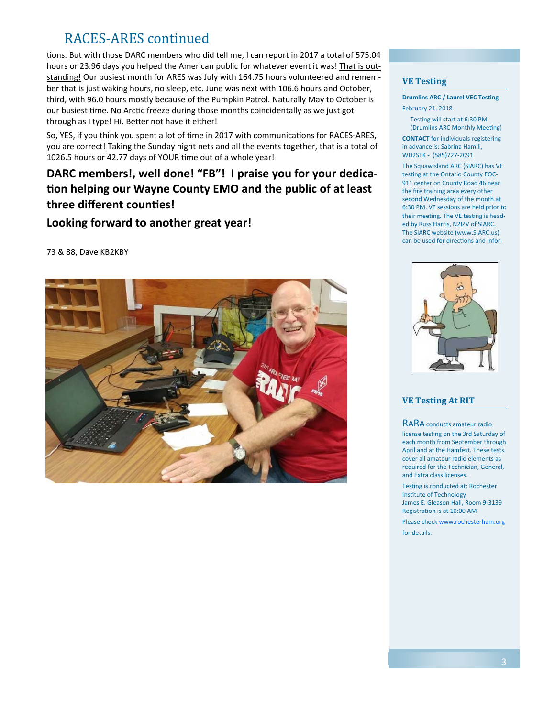# RACES-ARES continued

tions. But with those DARC members who did tell me, I can report in 2017 a total of 575.04 hours or 23.96 days you helped the American public for whatever event it was! That is outstanding! Our busiest month for ARES was July with 164.75 hours volunteered and remember that is just waking hours, no sleep, etc. June was next with 106.6 hours and October, third, with 96.0 hours mostly because of the Pumpkin Patrol. Naturally May to October is our busiest time. No Arctic freeze during those months coincidentally as we just got through as I type! Hi. Better not have it either!

So, YES, if you think you spent a lot of time in 2017 with communications for RACES-ARES, you are correct! Taking the Sunday night nets and all the events together, that is a total of 1026.5 hours or 42.77 days of YOUR time out of a whole year!

## **DARC members!, well done! "FB"! I praise you for your dedica-Ɵon helping our Wayne County EMO and the public of at least three different counƟes!**

#### **Looking forward to another great year!**

73 & 88, Dave KB2KBY



#### **VE Testing**

#### **Drumlins ARC / Laurel VEC Testing** February 21, 2018

Testing will start at 6:30 PM (Drumlins ARC Monthly Meeting)

**CONTACT** for individuals registering in advance is: Sabrina Hamill, WD2STK - (585)727-2091

The SquawIsland ARC (SIARC) has VE testing at the Ontario County EOC-911 center on County Road 46 near the fire training area every other second Wednesday of the month at 6:30 PM. VE sessions are held prior to their meeting. The VE testing is headed by Russ Harris, N2IZV of SIARC. The SIARC website (www.SIARC.us) can be used for directions and infor-



#### **VE Testing At RIT**

RARA conducts amateur radio license testing on the 3rd Saturday of each month from September through April and at the Hamfest. These tests cover all amateur radio elements as required for the Technician, General, and Extra class licenses.

Testing is conducted at: Rochester Institute of Technology James E. Gleason Hall, Room 9-3139 Registration is at 10:00 AM

Please check www.rochesterham.org for details.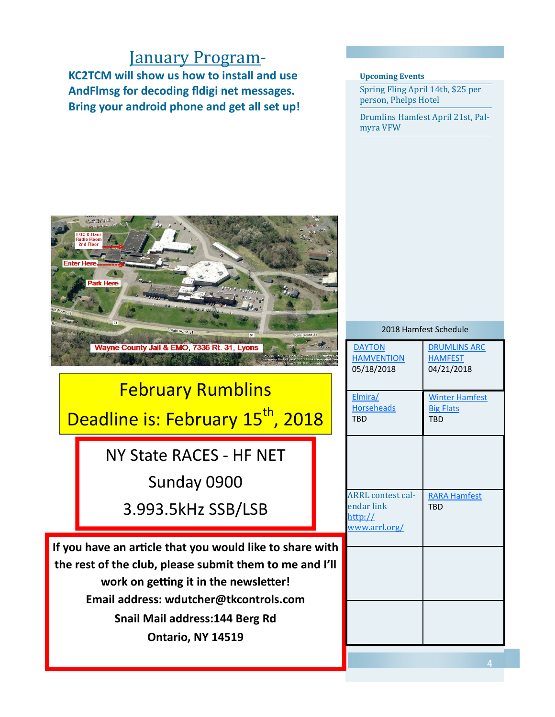# **January Program-**

**KC2TCM will show us how to install and use AndFlmsg for decoding fldigi net messages. Bring your android phone and get all set up!** 

#### **Upcoming Events**

Spring Fling April 14th, \$25 per person, Phelps Hotel

Drumlins Hamfest April 21st, Palmyra VFW 



# February Rumblins Deadline is: February 15<sup>th</sup>, 2018

NY State RACES - HF NET Sunday 0900

3.993.5kHz SSB/LSB

**If you have an arƟcle that you would like to share with the rest of the club, please submit them to me and I'll work on getting it in the newsletter! Email address: wdutcher@tkcontrols.com Snail Mail address:144 Berg Rd Ontario, NY 14519** 

| 2018 Hamfest Schedule                                              |                                                         |  |
|--------------------------------------------------------------------|---------------------------------------------------------|--|
| <b>DAYTON</b><br><b>HAMVENTION</b><br>05/18/2018                   | <b>DRUMLINS ARC</b><br><b>HAMFEST</b><br>04/21/2018     |  |
| Elmira/<br><b>Horseheads</b><br><b>TRD</b>                         | <b>Winter Hamfest</b><br><b>Big Flats</b><br><b>TBD</b> |  |
|                                                                    |                                                         |  |
| <b>ARRL</b> contest cal-<br>endar link<br>http://<br>www.arrl.org/ | <b>RARA Hamfest</b><br><b>TBD</b>                       |  |
|                                                                    |                                                         |  |
|                                                                    |                                                         |  |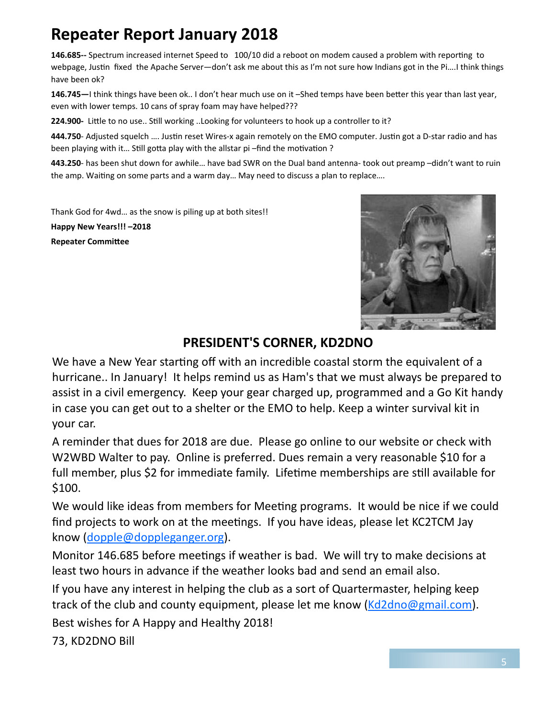# **Repeater Report January 2018**

146.685-- Spectrum increased internet Speed to 100/10 did a reboot on modem caused a problem with reporting to webpage, Justin fixed the Apache Server—don't ask me about this as I'm not sure how Indians got in the Pi....I think things have been ok?

146.745—I think things have been ok.. I don't hear much use on it -Shed temps have been better this year than last year, even with lower temps. 10 cans of spray foam may have helped???

**224.900-** Little to no use.. Still working ..Looking for volunteers to hook up a controller to it?

**444.750**- Adjusted squelch .... Justin reset Wires-x again remotely on the EMO computer. Justin got a D-star radio and has been playing with it... Still gotta play with the allstar pi-find the motivation ?

**443.250**- has been shut down for awhile… have bad SWR on the Dual band antenna- took out preamp –didn't want to ruin the amp. Waiting on some parts and a warm day... May need to discuss a plan to replace....

Thank God for 4wd… as the snow is piling up at both sites!!

**Happy New Years!!! –2018 Repeater CommiƩee** 



# **PRESIDENT'S CORNER, KD2DNO**

We have a New Year starting off with an incredible coastal storm the equivalent of a hurricane.. In January! It helps remind us as Ham's that we must always be prepared to assist in a civil emergency. Keep your gear charged up, programmed and a Go Kit handy in case you can get out to a shelter or the EMO to help. Keep a winter survival kit in your car.

A reminder that dues for 2018 are due. Please go online to our website or check with W2WBD Walter to pay. Online is preferred. Dues remain a very reasonable \$10 for a full member, plus \$2 for immediate family. Lifetime memberships are still available for \$100.

We would like ideas from members for Meeting programs. It would be nice if we could find projects to work on at the meetings. If you have ideas, please let KC2TCM Jay know (dopple@doppleganger.org).

Monitor 146.685 before meetings if weather is bad. We will try to make decisions at least two hours in advance if the weather looks bad and send an email also.

If you have any interest in helping the club as a sort of Quartermaster, helping keep track of the club and county equipment, please let me know (Kd2dno@gmail.com).

Best wishes for A Happy and Healthy 2018!

73, KD2DNO Bill